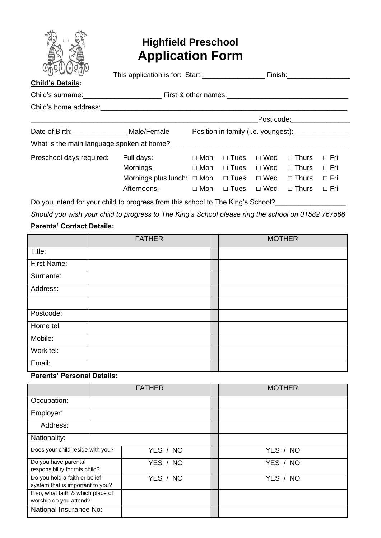

# **Highfield Preschool Application Form**

| C(t)<br><b>Child's Details:</b> | This application is for: Start:             |                                     |             |            | Finish: <b>Example 19</b>                                                                                                                                                                                                      |            |  |
|---------------------------------|---------------------------------------------|-------------------------------------|-------------|------------|--------------------------------------------------------------------------------------------------------------------------------------------------------------------------------------------------------------------------------|------------|--|
|                                 |                                             |                                     |             |            |                                                                                                                                                                                                                                |            |  |
| Child's home address:           |                                             |                                     |             |            |                                                                                                                                                                                                                                |            |  |
|                                 |                                             |                                     |             |            | Post code: the contract of the contract of the contract of the contract of the contract of the contract of the contract of the contract of the contract of the contract of the contract of the contract of the contract of the |            |  |
| Date of Birth: Male/Female      |                                             | Position in family (i.e. youngest): |             |            |                                                                                                                                                                                                                                |            |  |
|                                 |                                             |                                     |             |            |                                                                                                                                                                                                                                |            |  |
| Preschool days required:        | Full days:                                  | $\Box$ Mon                          | $\Box$ Tues | $\Box$ Wed | $\Box$ Thurs                                                                                                                                                                                                                   | $\Box$ Fri |  |
|                                 | Mornings:                                   | $\Box$ Mon                          | $\Box$ Tues | $\Box$ Wed | $\Box$ Thurs                                                                                                                                                                                                                   | $\Box$ Fri |  |
|                                 | Mornings plus lunch: $\Box$ Mon $\Box$ Tues |                                     |             | $\Box$ Wed | $\Box$ Thurs                                                                                                                                                                                                                   | $\Box$ Fri |  |
|                                 | Afternoons:                                 | $\Box$ Mon                          | $\Box$ Tues | $\Box$ Wed | $\Box$ Thurs                                                                                                                                                                                                                   | $\Box$ Fri |  |

Do you intend for your child to progress from this school to The King's School?\_\_\_\_\_\_\_\_\_\_\_\_\_\_\_\_\_\_\_\_\_\_\_\_\_\_\_\_\_\_\_

*Should you wish your child to progress to The King's School please ring the school on 01582 767566*

## **Parents' Contact Details:**

|             | <b>FATHER</b> | <b>MOTHER</b> |  |  |
|-------------|---------------|---------------|--|--|
| Title:      |               |               |  |  |
| First Name: |               |               |  |  |
| Surname:    |               |               |  |  |
| Address:    |               |               |  |  |
|             |               |               |  |  |
| Postcode:   |               |               |  |  |
| Home tel:   |               |               |  |  |
| Mobile:     |               |               |  |  |
| Work tel:   |               |               |  |  |
| Email:      |               |               |  |  |

### **Parents' Personal Details:**

|                                                                   | <b>FATHER</b> |          | <b>MOTHER</b> |  |  |
|-------------------------------------------------------------------|---------------|----------|---------------|--|--|
| Occupation:                                                       |               |          |               |  |  |
| Employer:                                                         |               |          |               |  |  |
| Address:                                                          |               |          |               |  |  |
| Nationality:                                                      |               |          |               |  |  |
| Does your child reside with you?                                  |               | YES / NO | YES / NO      |  |  |
| Do you have parental<br>responsibility for this child?            |               | YES / NO | YES / NO      |  |  |
| Do you hold a faith or belief<br>system that is important to you? |               | YES / NO | YES / NO      |  |  |
| If so, what faith & which place of<br>worship do you attend?      |               |          |               |  |  |
| National Insurance No:                                            |               |          |               |  |  |